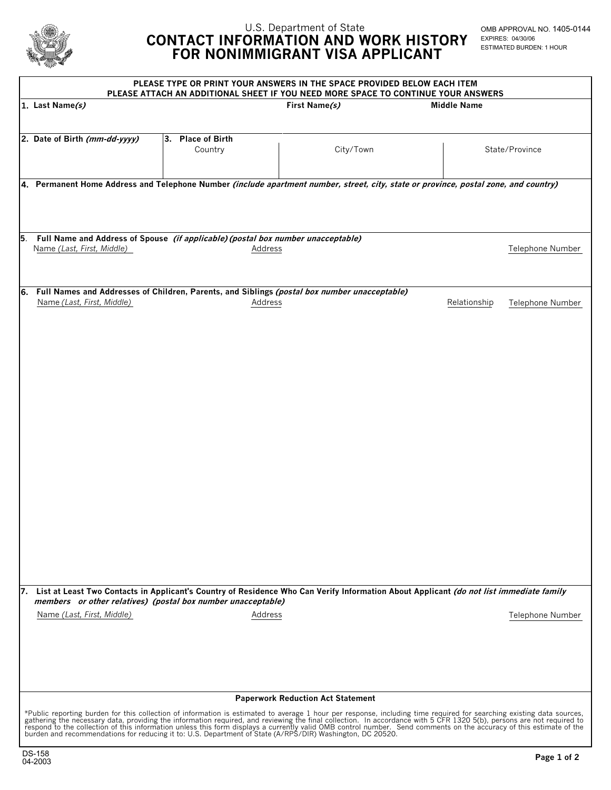

## U.S. Department of State  **CONTACT INFORMATION AND WORK HISTORY FOR NONIMMIGRANT VISA APPLICANT**

OMB APPROVAL NO. 1405-0144 EXPIRES: 04/30/06 ESTIMATED BURDEN: 1 HOUR

| PLEASE TYPE OR PRINT YOUR ANSWERS IN THE SPACE PROVIDED BELOW EACH ITEM<br>PLEASE ATTACH AN ADDITIONAL SHEET IF YOU NEED MORE SPACE TO CONTINUE YOUR ANSWERS                                                                                                                 |                              |               |                    |                  |  |  |
|------------------------------------------------------------------------------------------------------------------------------------------------------------------------------------------------------------------------------------------------------------------------------|------------------------------|---------------|--------------------|------------------|--|--|
| 1. Last Name(s)                                                                                                                                                                                                                                                              |                              | First Name(s) | <b>Middle Name</b> |                  |  |  |
|                                                                                                                                                                                                                                                                              |                              |               |                    |                  |  |  |
| 2. Date of Birth (mm-dd-yyyy)                                                                                                                                                                                                                                                | 3. Place of Birth<br>Country | City/Town     |                    | State/Province   |  |  |
|                                                                                                                                                                                                                                                                              |                              |               |                    |                  |  |  |
| 4. Permanent Home Address and Telephone Number (include apartment number, street, city, state or province, postal zone, and country)                                                                                                                                         |                              |               |                    |                  |  |  |
|                                                                                                                                                                                                                                                                              |                              |               |                    |                  |  |  |
|                                                                                                                                                                                                                                                                              |                              |               |                    |                  |  |  |
| Full Name and Address of Spouse (if applicable) (postal box number unacceptable)<br>15.                                                                                                                                                                                      |                              |               |                    |                  |  |  |
| Name (Last, First, Middle)                                                                                                                                                                                                                                                   | Address                      |               |                    | Telephone Number |  |  |
|                                                                                                                                                                                                                                                                              |                              |               |                    |                  |  |  |
| 6. Full Names and Addresses of Children, Parents, and Siblings (postal box number unacceptable)<br>Name (Last, First, Middle)<br>Relationship<br>Address<br>Telephone Number                                                                                                 |                              |               |                    |                  |  |  |
|                                                                                                                                                                                                                                                                              |                              |               |                    |                  |  |  |
|                                                                                                                                                                                                                                                                              |                              |               |                    |                  |  |  |
|                                                                                                                                                                                                                                                                              |                              |               |                    |                  |  |  |
|                                                                                                                                                                                                                                                                              |                              |               |                    |                  |  |  |
|                                                                                                                                                                                                                                                                              |                              |               |                    |                  |  |  |
|                                                                                                                                                                                                                                                                              |                              |               |                    |                  |  |  |
|                                                                                                                                                                                                                                                                              |                              |               |                    |                  |  |  |
|                                                                                                                                                                                                                                                                              |                              |               |                    |                  |  |  |
|                                                                                                                                                                                                                                                                              |                              |               |                    |                  |  |  |
|                                                                                                                                                                                                                                                                              |                              |               |                    |                  |  |  |
|                                                                                                                                                                                                                                                                              |                              |               |                    |                  |  |  |
|                                                                                                                                                                                                                                                                              |                              |               |                    |                  |  |  |
|                                                                                                                                                                                                                                                                              |                              |               |                    |                  |  |  |
|                                                                                                                                                                                                                                                                              |                              |               |                    |                  |  |  |
|                                                                                                                                                                                                                                                                              |                              |               |                    |                  |  |  |
| 7. List at Least Two Contacts in Applicant's Country of Residence Who Can Verify Information About Applicant (do not list immediate family<br>members or other relatives) (postal box number unacceptable)                                                                   |                              |               |                    |                  |  |  |
| Name (Last, First, Middle)                                                                                                                                                                                                                                                   | Address                      |               |                    | Telephone Number |  |  |
|                                                                                                                                                                                                                                                                              |                              |               |                    |                  |  |  |
|                                                                                                                                                                                                                                                                              |                              |               |                    |                  |  |  |
|                                                                                                                                                                                                                                                                              |                              |               |                    |                  |  |  |
|                                                                                                                                                                                                                                                                              |                              |               |                    |                  |  |  |
| <b>Paperwork Reduction Act Statement</b><br>*Public reporting burden for this collection of information is estimated to average 1 hour per response, including time required for searching existing data sources,<br>gathering the necessary data, providing the information |                              |               |                    |                  |  |  |
|                                                                                                                                                                                                                                                                              |                              |               |                    |                  |  |  |
| respond to the collection of this information unless this form displays a currently valid OMB control number. Send comments on the accuracy of this estimate of the burden and recommendations for reducing it to: U.S. Depart                                               |                              |               |                    |                  |  |  |